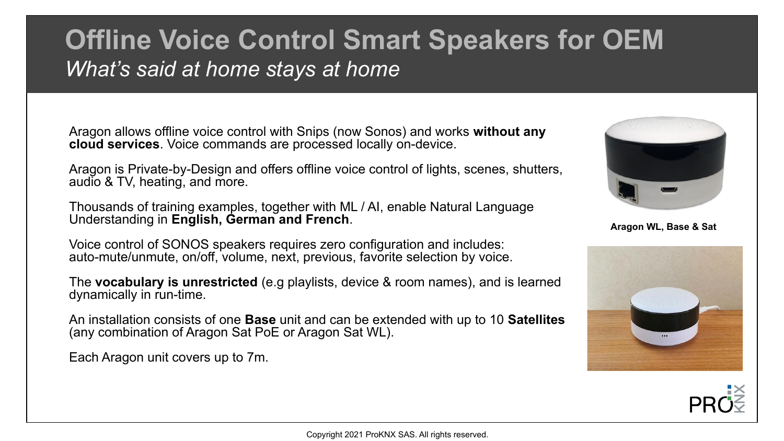## **Offline Voice Control Smart Speakers for OEM** *What's said at home stays at home*

Aragon allows offline voice control with Snips (now Sonos) and works **without any cloud services**. Voice commands are processed locally on-device.

Aragon is Private-by-Design and offers offline voice control of lights, scenes, shutters, audio & TV, heating, and more.

Thousands of training examples, together with ML / AI, enable Natural Language Understanding in **English, German and French**.

Voice control of SONOS speakers requires zero configuration and includes: auto-mute/unmute, on/off, volume, next, previous, favorite selection by voice.

The **vocabulary is unrestricted** (e.g playlists, device & room names), and is learned dynamically in run-time.

An installation consists of one **Base** unit and can be extended with up to 10 **Satellites** (any combination of Aragon Sat PoE or Aragon Sat WL).

Each Aragon unit covers up to 7m.



**Aragon WL, Base & Sat**